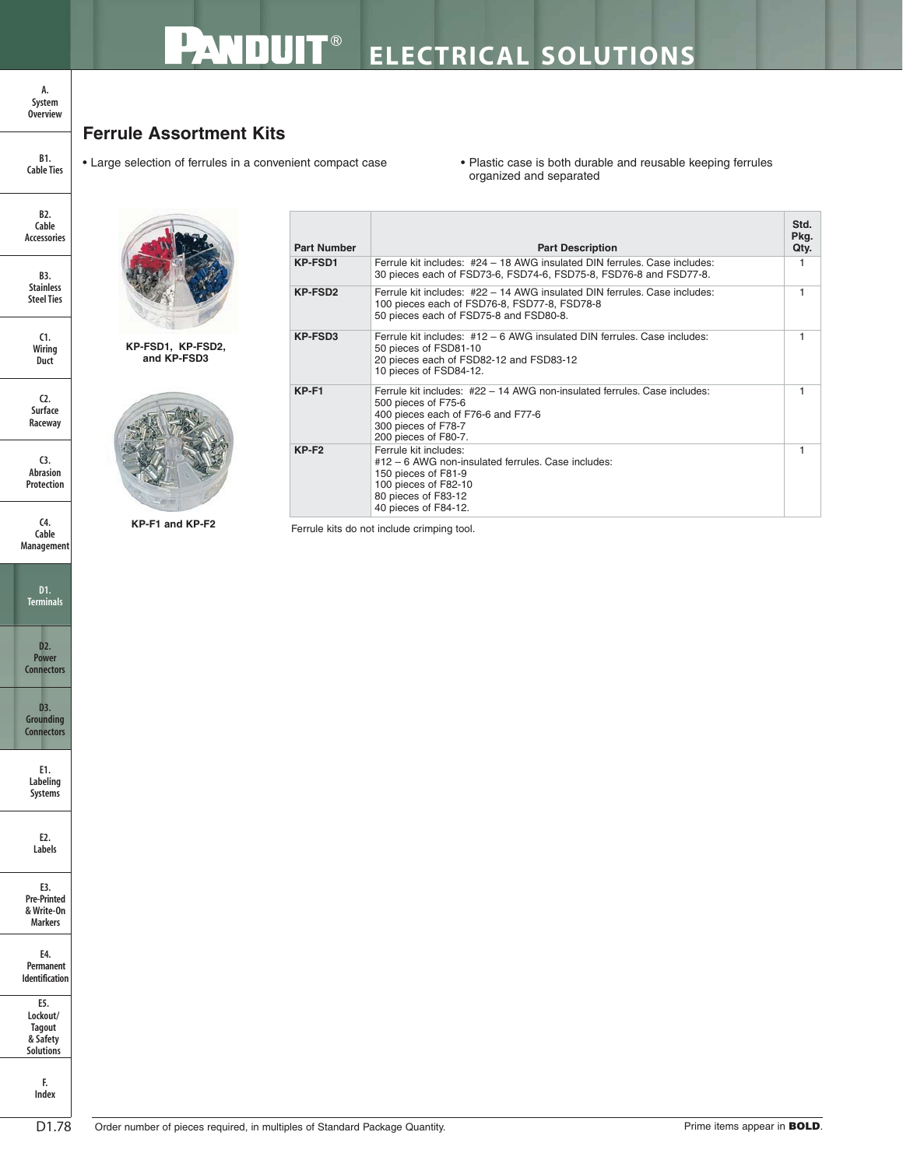## **Ferrule Assortment Kits**

• Large selection of ferrules in a convenient compact case • Plastic case is both durable and reusable keeping ferrules organized and separated

> **Std. Pkg.**

| capie<br><b>Accessories</b>                  |  |
|----------------------------------------------|--|
| B3.<br><b>Stainless</b><br><b>Steel Ties</b> |  |

**C1. Wiring Duct**

**B2. Cable**

**B1. Cable Ties**

**A. System Overview**

**C2. Surface Raceway**

**C3. Abrasion Protection**

**C4. Cable Management**





**KP-FSD1, KP-FSD2, and KP-FSD3**



| <b>Part Number</b>  | <b>Part Description</b>                                                                                                                                                               | Qty. |
|---------------------|---------------------------------------------------------------------------------------------------------------------------------------------------------------------------------------|------|
| <b>KP-FSD1</b>      | Ferrule kit includes: #24 - 18 AWG insulated DIN ferrules. Case includes:<br>30 pieces each of FSD73-6, FSD74-6, FSD75-8, FSD76-8 and FSD77-8.                                        |      |
| KP-FSD <sub>2</sub> | Ferrule kit includes: #22 - 14 AWG insulated DIN ferrules. Case includes:<br>100 pieces each of FSD76-8, FSD77-8, FSD78-8<br>50 pieces each of FSD75-8 and FSD80-8.                   |      |
| KP-FSD3             | Ferrule kit includes: #12 - 6 AWG insulated DIN ferrules. Case includes:<br>50 pieces of FSD81-10<br>20 pieces each of FSD82-12 and FSD83-12<br>10 pieces of FSD84-12.                |      |
| $KP-F1$             | Ferrule kit includes: #22 - 14 AWG non-insulated ferrules. Case includes:<br>500 pieces of F75-6<br>400 pieces each of F76-6 and F77-6<br>300 pieces of F78-7<br>200 pieces of F80-7. |      |
| $KP-F2$             | Ferrule kit includes:<br>#12 - 6 AWG non-insulated ferrules. Case includes:<br>150 pieces of F81-9<br>100 pieces of F82-10<br>80 pieces of F83-12<br>40 pieces of F84-12.             |      |
|                     | Ferrule kits do not include crimping tool.                                                                                                                                            |      |

**KP-F1 and KP-F2**